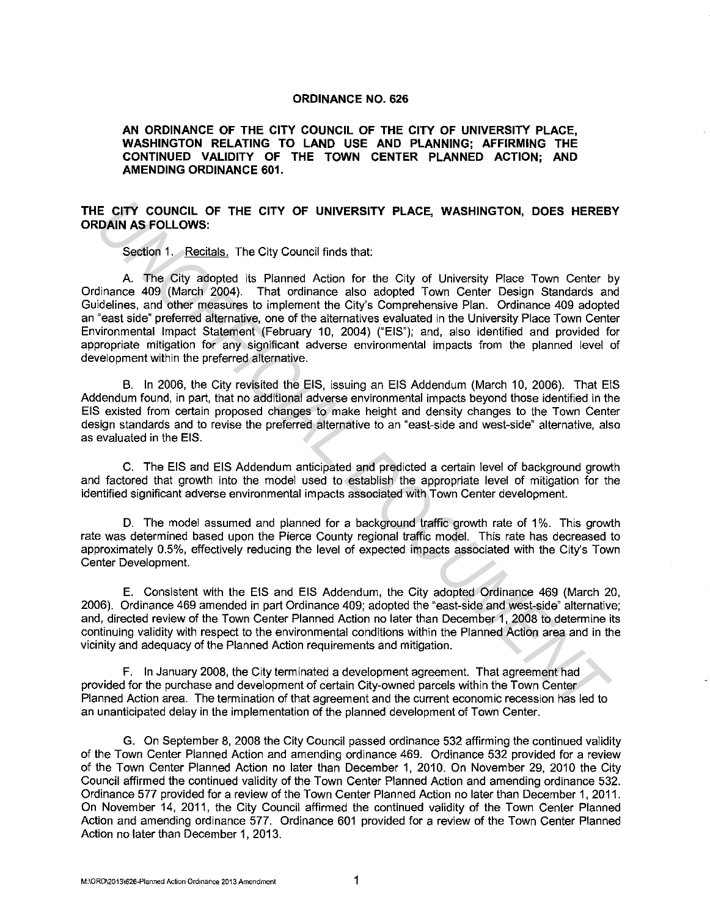## **ORDINANCE NO. 626**

**AN ORDINANCE OF THE CITY COUNCIL OF THE CITY OF UNIVERSITY PLACE, WASHINGTON RELATING TO LAND USE AND PLANNING; AFFIRMING THE CONTINUED VALIDITY OF THE TOWN CENTER PLANNED ACTION; AND AMENDING ORDINANCE 601.** 

## **THE CITY COUNCIL OF THE CITY OF UNIVERSITY PLACE, WASHINGTON, DOES HEREBY ORDAIN AS FOLLOWS:**

Section 1. Recitals. The City Council finds that:

A. The City adopted its Planned Action for the City of University Place Town Center by Ordinance 409 (March 2004). That ordinance also adopted Town Center Design Standards and Guidelines, and other measures to implement the City's Comprehensive Plan. Ordinance 409 adopted an "east side" preferred alternative, one of the alternatives evaluated in the University Place Town Center Environmental Impact Statement (February 10, 2004) ("EIS"); and, also identified and provided for appropriate mitigation for any significant adverse environmental impacts from the planned level of development within the preferred alternative. **IE CITY COUNCIL OF THE CITY OF UNIVERSITY PLACE, WASHINGTON, DOES HEREB**<br>
Second 1. Recarding, The City Council finds that:<br>
Second 1. Recarding, The City Council finds that:<br>
A. The City affored its Planmed Action for th

B. In 2006, the City revisited the EIS, issuing an EIS Addendum (March 10, 2006). That EIS Addendum found, in part, that no additional adverse environmental impacts beyond those identified in the EIS existed from certain proposed changes to make height and density changes to the Town Center design standards and to revise the preferred alternative to an "east-side and west-side" alternative, also as evaluated in the EIS.

C. The EIS and EIS Addendum anticipated and predicted a certain level of background growth and factored that growth into the model used to establish the appropriate level of mitigation for the identified significant adverse environmental impacts associated with Town Center development.

D. The model assumed and planned for a background traffic growth rate of 1%. This growth rate was determined based upon the Pierce County regional traffic model. This rate has decreased to approximately 0.5%, effectively reducing the level of expected impacts associated with the City's Town Center Development.

E. Consistent with the EIS and EIS Addendum, the City adopted Ordinance 469 (March 20, 2006). Ordinance 469 amended in part Ordinance 409; adopted the "east-side and west-side" alternative; and, directed review of the Town Center Planned Action no later than December 1, 2008 to determine its continuing validity with respect to the environmental conditions within the Planned Action area and in the vicinity and adequacy of the Planned Action requirements and mitigation.

F. In January 2008, the City terminated a development agreement. That agreement had provided for the purchase and development of certain City-owned parcels within the Town Center Planned Action area. The termination of that agreement and the current economic recession has led to an unanticipated delay in the implementation of the planned development of Town Center.

G. On September 8, 2008 the City Council passed ordinance 532 affirming the continued validity of the Town Center Planned Action and amending ordinance 469. Ordinance 532 provided for a review of the Town Center Planned Action no later than December 1, 2010. On November 29, 2010 the City Council affirmed the continued validity of the Town Center Planned Action and amending ordinance 532. Ordinance 577 provided for a review of the Town Center Planned Action no later than December 1, 2011. On November 14, 2011, the City Council affirmed the continued validity of the Town Center Planned Action and amending ordinance 577. Ordinance 601 provided for a review of the Town Center Planned Action no later than December 1, 2013.